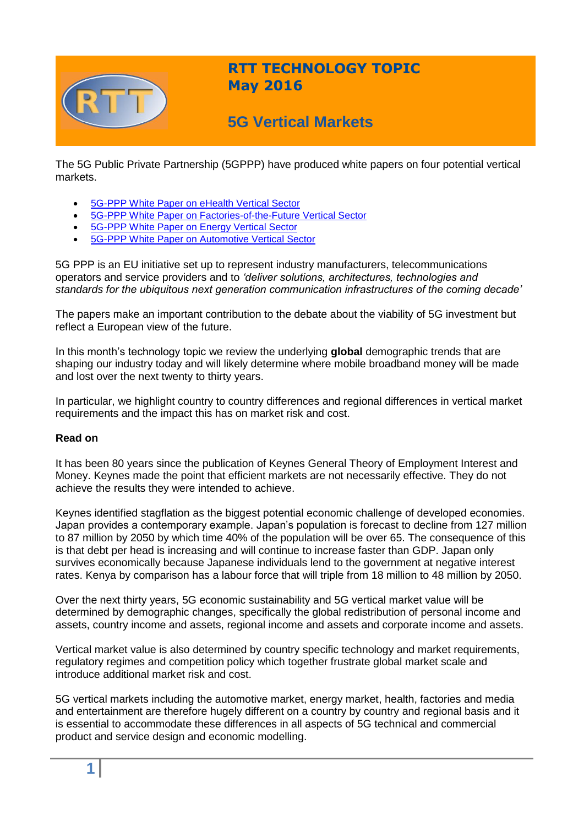

# **RTT TECHNOLOGY TOPIC May 2016**

# **5G Vertical Markets**

The 5G Public Private Partnership (5GPPP) have produced white papers on four potential vertical markets.

- [5G-PPP White Paper on eHealth Vertical Sector](https://5g-ppp.eu/wp-content/uploads/2014/02/5G-PPP-White-Paper-on-eHealth-Vertical-Sector.pdf)
- [5G-PPP White Paper on Factories-of-the-Future Vertical Sector](https://5g-ppp.eu/wp-content/uploads/2014/02/5G-PPP-White-Paper-on-Factories-of-the-Future-Vertical-Sector.pdf)
- [5G-PPP White Paper on Energy Vertical Sector](https://5g-ppp.eu/wp-content/uploads/2014/02/5G-PPP-White_Paper-on-Energy-Vertical-Sector.pdf)
- [5G-PPP White Paper on Automotive Vertical Sector](https://5g-ppp.eu/wp-content/uploads/2014/02/5G-PPP-White-Paper-on-Automotive-Vertical-Sectors.pdf)

5G PPP is an EU initiative set up to represent industry manufacturers, telecommunications operators and service providers and to *'deliver solutions, architectures, technologies and standards for the ubiquitous next generation communication infrastructures of the coming decade'*

The papers make an important contribution to the debate about the viability of 5G investment but reflect a European view of the future.

In this month's technology topic we review the underlying **global** demographic trends that are shaping our industry today and will likely determine where mobile broadband money will be made and lost over the next twenty to thirty years.

In particular, we highlight country to country differences and regional differences in vertical market requirements and the impact this has on market risk and cost.

## **Read on**

It has been 80 years since the publication of Keynes General Theory of Employment Interest and Money. Keynes made the point that efficient markets are not necessarily effective. They do not achieve the results they were intended to achieve.

Keynes identified stagflation as the biggest potential economic challenge of developed economies. Japan provides a contemporary example. Japan's population is forecast to decline from 127 million to 87 million by 2050 by which time 40% of the population will be over 65. The consequence of this is that debt per head is increasing and will continue to increase faster than GDP. Japan only survives economically because Japanese individuals lend to the government at negative interest rates. Kenya by comparison has a labour force that will triple from 18 million to 48 million by 2050.

Over the next thirty years, 5G economic sustainability and 5G vertical market value will be determined by demographic changes, specifically the global redistribution of personal income and assets, country income and assets, regional income and assets and corporate income and assets.

Vertical market value is also determined by country specific technology and market requirements, regulatory regimes and competition policy which together frustrate global market scale and introduce additional market risk and cost.

5G vertical markets including the automotive market, energy market, health, factories and media and entertainment are therefore hugely different on a country by country and regional basis and it is essential to accommodate these differences in all aspects of 5G technical and commercial product and service design and economic modelling.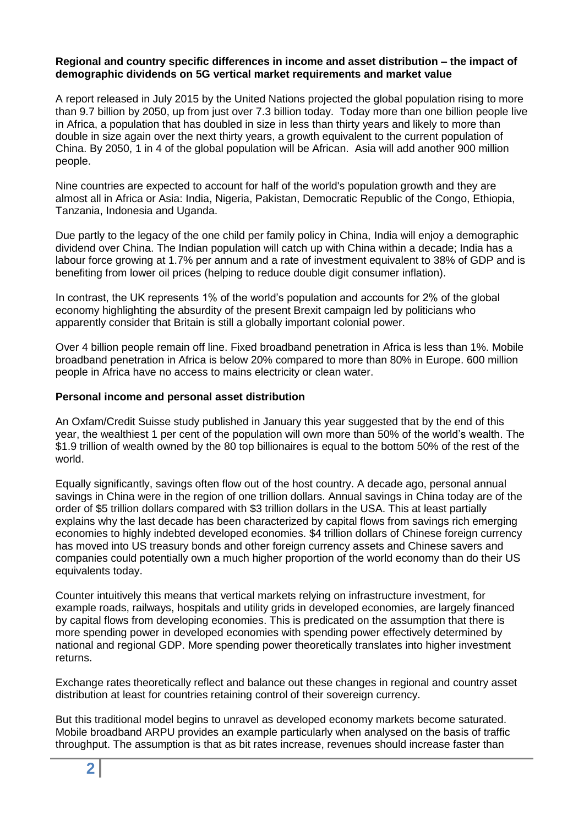#### **Regional and country specific differences in income and asset distribution – the impact of demographic dividends on 5G vertical market requirements and market value**

A report released in July 2015 by the United Nations projected the global population rising to more than 9.7 billion by 2050, up from just over 7.3 billion today. Today more than one billion people live in Africa, a population that has doubled in size in less than thirty years and likely to more than double in size again over the next thirty years, a growth equivalent to the current population of China. By 2050, 1 in 4 of the global population will be African. Asia will add another 900 million people.

Nine countries are expected to account for half of the world's population growth and they are almost all in Africa or Asia: India, Nigeria, Pakistan, Democratic Republic of the Congo, Ethiopia, Tanzania, Indonesia and Uganda.

Due partly to the legacy of the one child per family policy in China, India will enjoy a demographic dividend over China. The Indian population will catch up with China within a decade; India has a labour force growing at 1.7% per annum and a rate of investment equivalent to 38% of GDP and is benefiting from lower oil prices (helping to reduce double digit consumer inflation).

In contrast, the UK represents 1% of the world's population and accounts for 2% of the global economy highlighting the absurdity of the present Brexit campaign led by politicians who apparently consider that Britain is still a globally important colonial power.

Over 4 billion people remain off line. Fixed broadband penetration in Africa is less than 1%. Mobile broadband penetration in Africa is below 20% compared to more than 80% in Europe. 600 million people in Africa have no access to mains electricity or clean water.

## **Personal income and personal asset distribution**

An Oxfam/Credit Suisse study published in January this year suggested that by the end of this year, the wealthiest 1 per cent of the population will own more than 50% of the world's wealth. The \$1.9 trillion of wealth owned by the 80 top billionaires is equal to the bottom 50% of the rest of the world.

Equally significantly, savings often flow out of the host country. A decade ago, personal annual savings in China were in the region of one trillion dollars. Annual savings in China today are of the order of \$5 trillion dollars compared with \$3 trillion dollars in the USA. This at least partially explains why the last decade has been characterized by capital flows from savings rich emerging economies to highly indebted developed economies. \$4 trillion dollars of Chinese foreign currency has moved into US treasury bonds and other foreign currency assets and Chinese savers and companies could potentially own a much higher proportion of the world economy than do their US equivalents today.

Counter intuitively this means that vertical markets relying on infrastructure investment, for example roads, railways, hospitals and utility grids in developed economies, are largely financed by capital flows from developing economies. This is predicated on the assumption that there is more spending power in developed economies with spending power effectively determined by national and regional GDP. More spending power theoretically translates into higher investment returns.

Exchange rates theoretically reflect and balance out these changes in regional and country asset distribution at least for countries retaining control of their sovereign currency.

But this traditional model begins to unravel as developed economy markets become saturated. Mobile broadband ARPU provides an example particularly when analysed on the basis of traffic throughput. The assumption is that as bit rates increase, revenues should increase faster than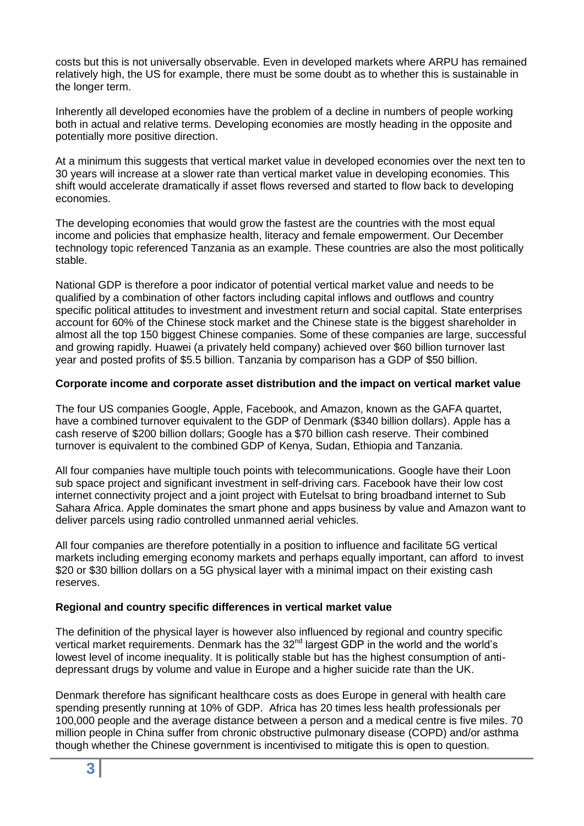costs but this is not universally observable. Even in developed markets where ARPU has remained relatively high, the US for example, there must be some doubt as to whether this is sustainable in the longer term.

Inherently all developed economies have the problem of a decline in numbers of people working both in actual and relative terms. Developing economies are mostly heading in the opposite and potentially more positive direction.

At a minimum this suggests that vertical market value in developed economies over the next ten to 30 years will increase at a slower rate than vertical market value in developing economies. This shift would accelerate dramatically if asset flows reversed and started to flow back to developing economies.

The developing economies that would grow the fastest are the countries with the most equal income and policies that emphasize health, literacy and female empowerment. Our December technology topic referenced Tanzania as an example. These countries are also the most politically stable.

National GDP is therefore a poor indicator of potential vertical market value and needs to be qualified by a combination of other factors including capital inflows and outflows and country specific political attitudes to investment and investment return and social capital. State enterprises account for 60% of the Chinese stock market and the Chinese state is the biggest shareholder in almost all the top 150 biggest Chinese companies. Some of these companies are large, successful and growing rapidly. Huawei (a privately held company) achieved over \$60 billion turnover last year and posted profits of \$5.5 billion. Tanzania by comparison has a GDP of \$50 billion.

## **Corporate income and corporate asset distribution and the impact on vertical market value**

The four US companies Google, Apple, Facebook, and Amazon, known as the GAFA quartet, have a combined turnover equivalent to the GDP of Denmark (\$340 billion dollars). Apple has a cash reserve of \$200 billion dollars; Google has a \$70 billion cash reserve. Their combined turnover is equivalent to the combined GDP of Kenya, Sudan, Ethiopia and Tanzania.

All four companies have multiple touch points with telecommunications. Google have their Loon sub space project and significant investment in self-driving cars. Facebook have their low cost internet connectivity project and a joint project with Eutelsat to bring broadband internet to Sub Sahara Africa. Apple dominates the smart phone and apps business by value and Amazon want to deliver parcels using radio controlled unmanned aerial vehicles.

All four companies are therefore potentially in a position to influence and facilitate 5G vertical markets including emerging economy markets and perhaps equally important, can afford to invest \$20 or \$30 billion dollars on a 5G physical layer with a minimal impact on their existing cash reserves.

## **Regional and country specific differences in vertical market value**

The definition of the physical layer is however also influenced by regional and country specific vertical market requirements. Denmark has the 32<sup>nd</sup> largest GDP in the world and the world's lowest level of income inequality. It is politically stable but has the highest consumption of antidepressant drugs by volume and value in Europe and a higher suicide rate than the UK.

Denmark therefore has significant healthcare costs as does Europe in general with health care spending presently running at 10% of GDP. Africa has 20 times less health professionals per 100,000 people and the average distance between a person and a medical centre is five miles. 70 million people in China suffer from chronic obstructive pulmonary disease (COPD) and/or asthma though whether the Chinese government is incentivised to mitigate this is open to question.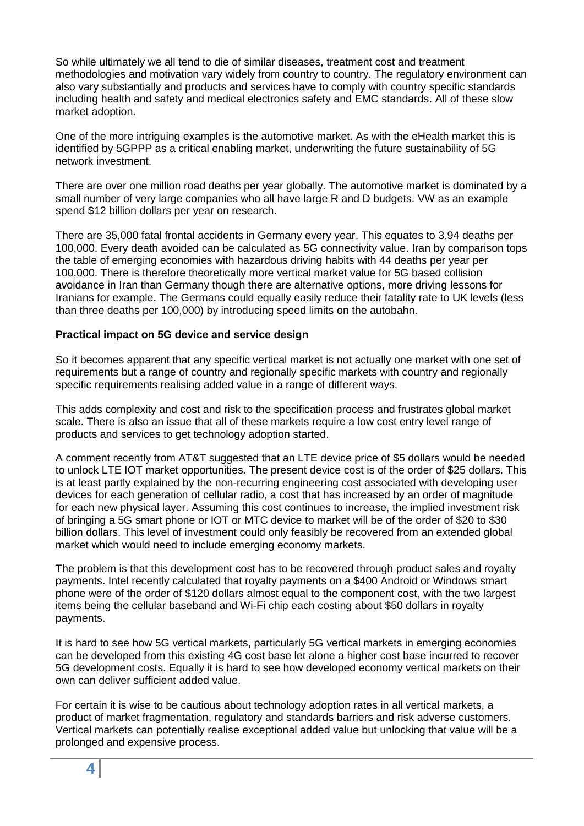So while ultimately we all tend to die of similar diseases, treatment cost and treatment methodologies and motivation vary widely from country to country. The regulatory environment can also vary substantially and products and services have to comply with country specific standards including health and safety and medical electronics safety and EMC standards. All of these slow market adoption.

One of the more intriguing examples is the automotive market. As with the eHealth market this is identified by 5GPPP as a critical enabling market, underwriting the future sustainability of 5G network investment.

There are over one million road deaths per year globally. The automotive market is dominated by a small number of very large companies who all have large R and D budgets. VW as an example spend \$12 billion dollars per year on research.

There are 35,000 fatal frontal accidents in Germany every year. This equates to 3.94 deaths per 100,000. Every death avoided can be calculated as 5G connectivity value. Iran by comparison tops the table of emerging economies with hazardous driving habits with 44 deaths per year per 100,000. There is therefore theoretically more vertical market value for 5G based collision avoidance in Iran than Germany though there are alternative options, more driving lessons for Iranians for example. The Germans could equally easily reduce their fatality rate to UK levels (less than three deaths per 100,000) by introducing speed limits on the autobahn.

## **Practical impact on 5G device and service design**

So it becomes apparent that any specific vertical market is not actually one market with one set of requirements but a range of country and regionally specific markets with country and regionally specific requirements realising added value in a range of different ways.

This adds complexity and cost and risk to the specification process and frustrates global market scale. There is also an issue that all of these markets require a low cost entry level range of products and services to get technology adoption started.

A comment recently from AT&T suggested that an LTE device price of \$5 dollars would be needed to unlock LTE IOT market opportunities. The present device cost is of the order of \$25 dollars. This is at least partly explained by the non-recurring engineering cost associated with developing user devices for each generation of cellular radio, a cost that has increased by an order of magnitude for each new physical layer. Assuming this cost continues to increase, the implied investment risk of bringing a 5G smart phone or IOT or MTC device to market will be of the order of \$20 to \$30 billion dollars. This level of investment could only feasibly be recovered from an extended global market which would need to include emerging economy markets.

The problem is that this development cost has to be recovered through product sales and royalty payments. Intel recently calculated that royalty payments on a \$400 Android or Windows smart phone were of the order of \$120 dollars almost equal to the component cost, with the two largest items being the cellular baseband and Wi-Fi chip each costing about \$50 dollars in royalty payments.

It is hard to see how 5G vertical markets, particularly 5G vertical markets in emerging economies can be developed from this existing 4G cost base let alone a higher cost base incurred to recover 5G development costs. Equally it is hard to see how developed economy vertical markets on their own can deliver sufficient added value.

For certain it is wise to be cautious about technology adoption rates in all vertical markets, a product of market fragmentation, regulatory and standards barriers and risk adverse customers. Vertical markets can potentially realise exceptional added value but unlocking that value will be a prolonged and expensive process.